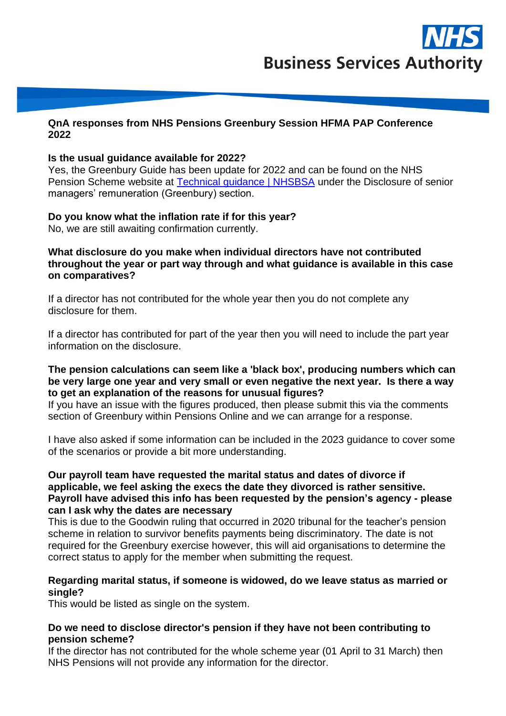### **QnA responses from NHS Pensions Greenbury Session HFMA PAP Conference 2022**

# **Is the usual guidance available for 2022?**

Yes, the Greenbury Guide has been update for 2022 and can be found on the NHS Pension Scheme website at [Technical guidance | NHSBSA](https://www.nhsbsa.nhs.uk/employer-hub/technical-guidance) under the Disclosure of senior managers' remuneration (Greenbury) section.

# **Do you know what the inflation rate if for this year?**

No, we are still awaiting confirmation currently.

### **What disclosure do you make when individual directors have not contributed throughout the year or part way through and what guidance is available in this case on comparatives?**

If a director has not contributed for the whole year then you do not complete any disclosure for them.

If a director has contributed for part of the year then you will need to include the part year information on the disclosure.

#### **The pension calculations can seem like a 'black box', producing numbers which can be very large one year and very small or even negative the next year. Is there a way to get an explanation of the reasons for unusual figures?**

If you have an issue with the figures produced, then please submit this via the comments section of Greenbury within Pensions Online and we can arrange for a response.

I have also asked if some information can be included in the 2023 guidance to cover some of the scenarios or provide a bit more understanding.

#### **Our payroll team have requested the marital status and dates of divorce if applicable, we feel asking the execs the date they divorced is rather sensitive. Payroll have advised this info has been requested by the pension's agency - please can I ask why the dates are necessary**

This is due to the Goodwin ruling that occurred in 2020 tribunal for the teacher's pension scheme in relation to survivor benefits payments being discriminatory. The date is not required for the Greenbury exercise however, this will aid organisations to determine the correct status to apply for the member when submitting the request.

## **Regarding marital status, if someone is widowed, do we leave status as married or single?**

This would be listed as single on the system.

### **Do we need to disclose director's pension if they have not been contributing to pension scheme?**

If the director has not contributed for the whole scheme year (01 April to 31 March) then NHS Pensions will not provide any information for the director.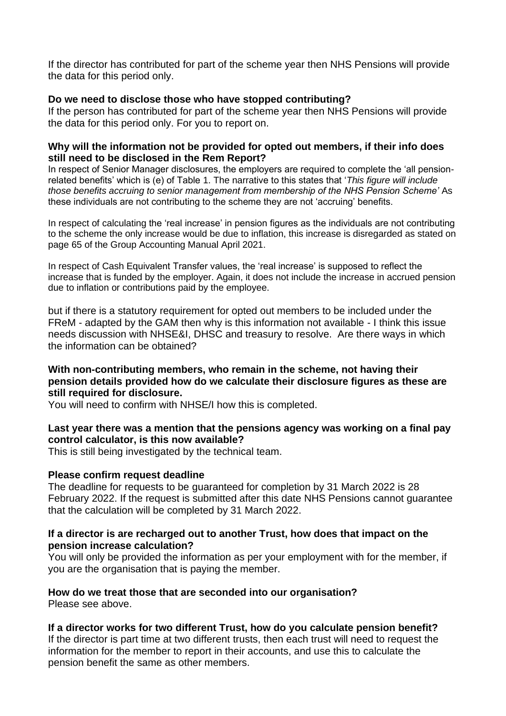If the director has contributed for part of the scheme year then NHS Pensions will provide the data for this period only.

## **Do we need to disclose those who have stopped contributing?**

If the person has contributed for part of the scheme year then NHS Pensions will provide the data for this period only. For you to report on.

### **Why will the information not be provided for opted out members, if their info does still need to be disclosed in the Rem Report?**

In respect of Senior Manager disclosures, the employers are required to complete the 'all pensionrelated benefits' which is (e) of Table 1. The narrative to this states that '*This figure will include those benefits accruing to senior management from membership of the NHS Pension Scheme'* As these individuals are not contributing to the scheme they are not 'accruing' benefits.

In respect of calculating the 'real increase' in pension figures as the individuals are not contributing to the scheme the only increase would be due to inflation, this increase is disregarded as stated on page 65 of the Group Accounting Manual April 2021.

In respect of Cash Equivalent Transfer values, the 'real increase' is supposed to reflect the increase that is funded by the employer. Again, it does not include the increase in accrued pension due to inflation or contributions paid by the employee.

but if there is a statutory requirement for opted out members to be included under the FReM - adapted by the GAM then why is this information not available - I think this issue needs discussion with NHSE&I, DHSC and treasury to resolve. Are there ways in which the information can be obtained?

### **With non-contributing members, who remain in the scheme, not having their pension details provided how do we calculate their disclosure figures as these are still required for disclosure.**

You will need to confirm with NHSE/I how this is completed.

### **Last year there was a mention that the pensions agency was working on a final pay control calculator, is this now available?**

This is still being investigated by the technical team.

### **Please confirm request deadline**

The deadline for requests to be guaranteed for completion by 31 March 2022 is 28 February 2022. If the request is submitted after this date NHS Pensions cannot guarantee that the calculation will be completed by 31 March 2022.

### **If a director is are recharged out to another Trust, how does that impact on the pension increase calculation?**

You will only be provided the information as per your employment with for the member, if you are the organisation that is paying the member.

#### **How do we treat those that are seconded into our organisation?**  Please see above.

### **If a director works for two different Trust, how do you calculate pension benefit?**

If the director is part time at two different trusts, then each trust will need to request the information for the member to report in their accounts, and use this to calculate the pension benefit the same as other members.